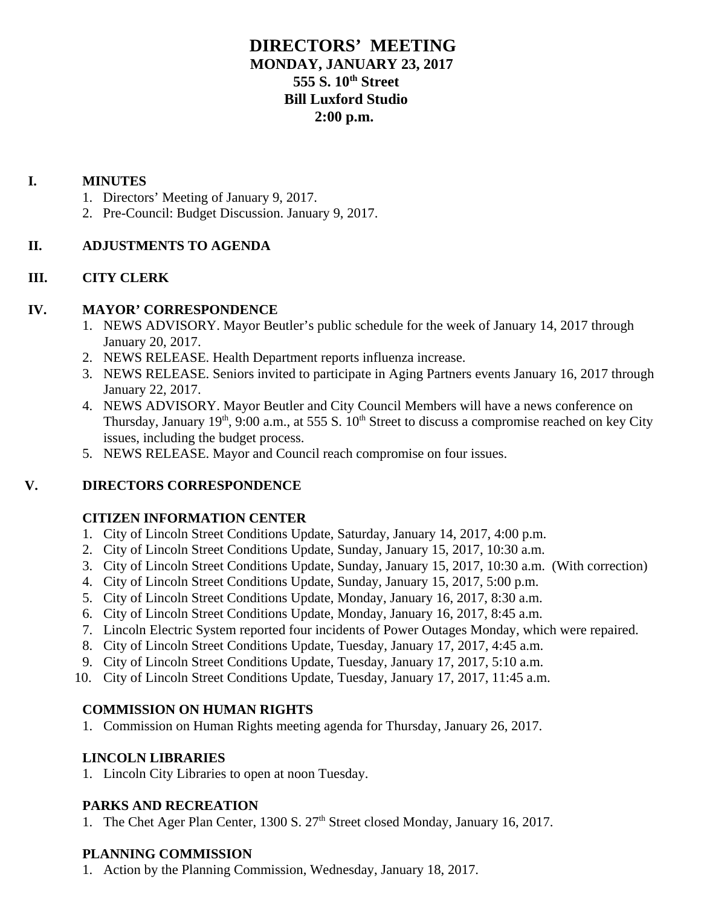# **DIRECTORS' MEETING MONDAY, JANUARY 23, 2017 555 S. 10th Street Bill Luxford Studio 2:00 p.m.**

### **I. MINUTES**

- 1. Directors' Meeting of January 9, 2017.
- 2. Pre-Council: Budget Discussion. January 9, 2017.

### **II. ADJUSTMENTS TO AGENDA**

### **III. CITY CLERK**

#### **IV. MAYOR' CORRESPONDENCE**

- 1. NEWS ADVISORY. Mayor Beutler's public schedule for the week of January 14, 2017 through January 20, 2017.
- 2. NEWS RELEASE. Health Department reports influenza increase.
- 3. NEWS RELEASE. Seniors invited to participate in Aging Partners events January 16, 2017 through January 22, 2017.
- 4. NEWS ADVISORY. Mayor Beutler and City Council Members will have a news conference on Thursday, January 19<sup>th</sup>, 9:00 a.m., at 555 S. 10<sup>th</sup> Street to discuss a compromise reached on key City issues, including the budget process.
- 5. NEWS RELEASE. Mayor and Council reach compromise on four issues.

### **V. DIRECTORS CORRESPONDENCE**

#### **CITIZEN INFORMATION CENTER**

- 1. City of Lincoln Street Conditions Update, Saturday, January 14, 2017, 4:00 p.m.
- 2. City of Lincoln Street Conditions Update, Sunday, January 15, 2017, 10:30 a.m.
- 3. City of Lincoln Street Conditions Update, Sunday, January 15, 2017, 10:30 a.m. (With correction)
- 4. City of Lincoln Street Conditions Update, Sunday, January 15, 2017, 5:00 p.m.
- 5. City of Lincoln Street Conditions Update, Monday, January 16, 2017, 8:30 a.m.
- 6. City of Lincoln Street Conditions Update, Monday, January 16, 2017, 8:45 a.m.
- 7. Lincoln Electric System reported four incidents of Power Outages Monday, which were repaired.
- 8. City of Lincoln Street Conditions Update, Tuesday, January 17, 2017, 4:45 a.m.
- 9. City of Lincoln Street Conditions Update, Tuesday, January 17, 2017, 5:10 a.m.
- 10. City of Lincoln Street Conditions Update, Tuesday, January 17, 2017, 11:45 a.m.

#### **COMMISSION ON HUMAN RIGHTS**

1. Commission on Human Rights meeting agenda for Thursday, January 26, 2017.

#### **LINCOLN LIBRARIES**

1. Lincoln City Libraries to open at noon Tuesday.

#### **PARKS AND RECREATION**

1. The Chet Ager Plan Center, 1300 S. 27<sup>th</sup> Street closed Monday, January 16, 2017.

#### **PLANNING COMMISSION**

1. Action by the Planning Commission, Wednesday, January 18, 2017.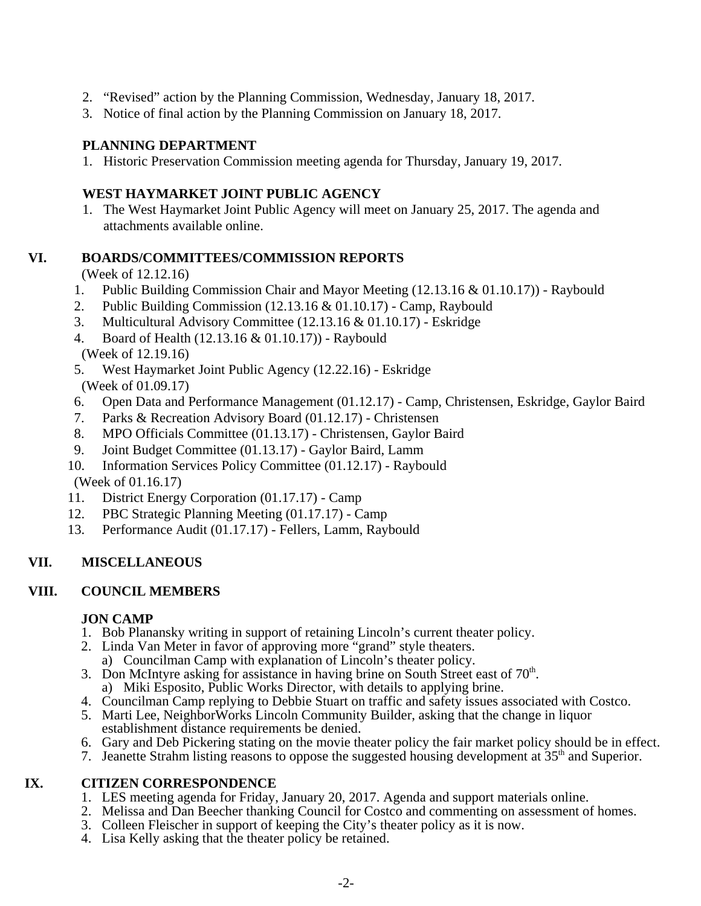- 2. "Revised" action by the Planning Commission, Wednesday, January 18, 2017.
- 3. Notice of final action by the Planning Commission on January 18, 2017.

## **PLANNING DEPARTMENT**

1. Historic Preservation Commission meeting agenda for Thursday, January 19, 2017.

## **WEST HAYMARKET JOINT PUBLIC AGENCY**

1. The West Haymarket Joint Public Agency will meet on January 25, 2017. The agenda and attachments available online.

## **VI. BOARDS/COMMITTEES/COMMISSION REPORTS**

(Week of 12.12.16)

- 1. Public Building Commission Chair and Mayor Meeting (12.13.16 & 01.10.17)) Raybould
- 2. Public Building Commission (12.13.16 & 01.10.17) Camp, Raybould
- 3. Multicultural Advisory Committee (12.13.16 & 01.10.17) Eskridge
- 4. Board of Health (12.13.16 & 01.10.17)) Raybould

(Week of 12.19.16)

- 5. West Haymarket Joint Public Agency (12.22.16) Eskridge (Week of 01.09.17)
- 6. Open Data and Performance Management (01.12.17) Camp, Christensen, Eskridge, Gaylor Baird
- 7. Parks & Recreation Advisory Board (01.12.17) Christensen
- 8. MPO Officials Committee (01.13.17) Christensen, Gaylor Baird
- 9. Joint Budget Committee (01.13.17) Gaylor Baird, Lamm
- 10. Information Services Policy Committee (01.12.17) Raybould (Week of 01.16.17)
- 11. District Energy Corporation (01.17.17) Camp
- 12. PBC Strategic Planning Meeting (01.17.17) Camp
- 13. Performance Audit (01.17.17) Fellers, Lamm, Raybould

## **VII. MISCELLANEOUS**

## **VIII. COUNCIL MEMBERS**

### **JON CAMP**

- 1. Bob Planansky writing in support of retaining Lincoln's current theater policy.
- 2. Linda Van Meter in favor of approving more "grand" style theaters.
- a) Councilman Camp with explanation of Lincoln's theater policy.
- 3. Don McIntyre asking for assistance in having brine on South Street east of  $70<sup>th</sup>$ .<br>a) Miki Esposito, Public Works Director, with details to applying brine.
- 4. Councilman Camp replying to Debbie Stuart on traffic and safety issues associated with Costco.
- 5. Marti Lee, NeighborWorks Lincoln Community Builder, asking that the change in liquor establishment distance requirements be denied.
- 6. Gary and Deb Pickering stating on the movie theater policy the fair market policy should be in effect.
- 7. Jeanette Strahm listing reasons to oppose the suggested housing development at  $35<sup>th</sup>$  and Superior.

## **IX. CITIZEN CORRESPONDENCE**

- 1. LES meeting agenda for Friday, January 20, 2017. Agenda and support materials online.
- 2. Melissa and Dan Beecher thanking Council for Costco and commenting on assessment of homes.
- 3. Colleen Fleischer in support of keeping the City's theater policy as it is now.
- 4. Lisa Kelly asking that the theater policy be retained.